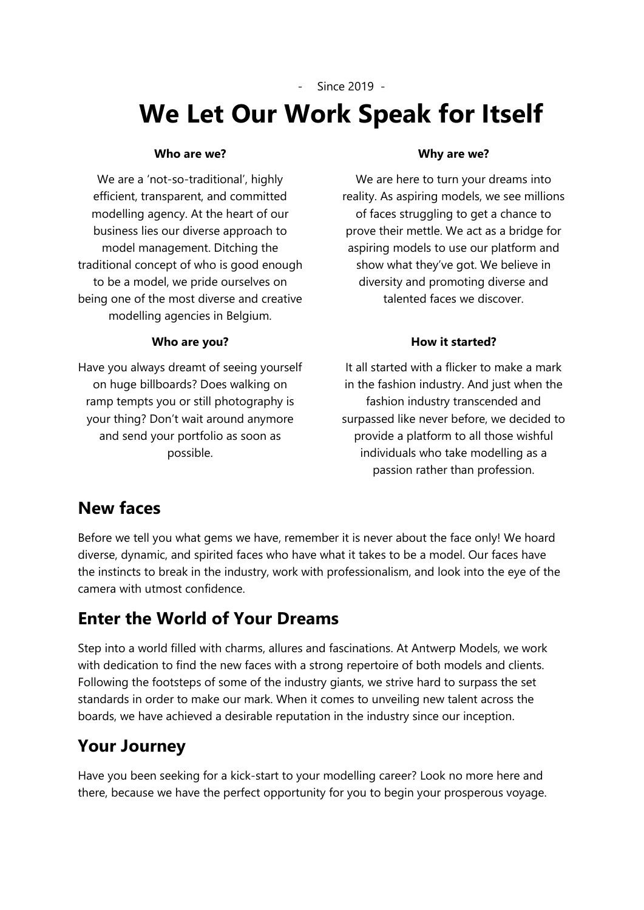- Since 2019 -

# **We Let Our Work Speak for Itself**

#### **Who are we?**

We are a 'not-so-traditional', highly efficient, transparent, and committed modelling agency. At the heart of our business lies our diverse approach to model management. Ditching the traditional concept of who is good enough to be a model, we pride ourselves on being one of the most diverse and creative modelling agencies in Belgium.

#### **Who are you?**

Have you always dreamt of seeing yourself on huge billboards? Does walking on ramp tempts you or still photography is your thing? Don't wait around anymore and send your portfolio as soon as possible.

#### **Why are we?**

We are here to turn your dreams into reality. As aspiring models, we see millions of faces struggling to get a chance to prove their mettle. We act as a bridge for aspiring models to use our platform and show what they've got. We believe in diversity and promoting diverse and talented faces we discover.

#### **How it started?**

It all started with a flicker to make a mark in the fashion industry. And just when the fashion industry transcended and surpassed like never before, we decided to provide a platform to all those wishful individuals who take modelling as a passion rather than profession.

### **New faces**

Before we tell you what gems we have, remember it is never about the face only! We hoard diverse, dynamic, and spirited faces who have what it takes to be a model. Our faces have the instincts to break in the industry, work with professionalism, and look into the eye of the camera with utmost confidence.

## **Enter the World of Your Dreams**

Step into a world filled with charms, allures and fascinations. At Antwerp Models, we work with dedication to find the new faces with a strong repertoire of both models and clients. Following the footsteps of some of the industry giants, we strive hard to surpass the set standards in order to make our mark. When it comes to unveiling new talent across the boards, we have achieved a desirable reputation in the industry since our inception.

## **Your Journey**

Have you been seeking for a kick-start to your modelling career? Look no more here and there, because we have the perfect opportunity for you to begin your prosperous voyage.